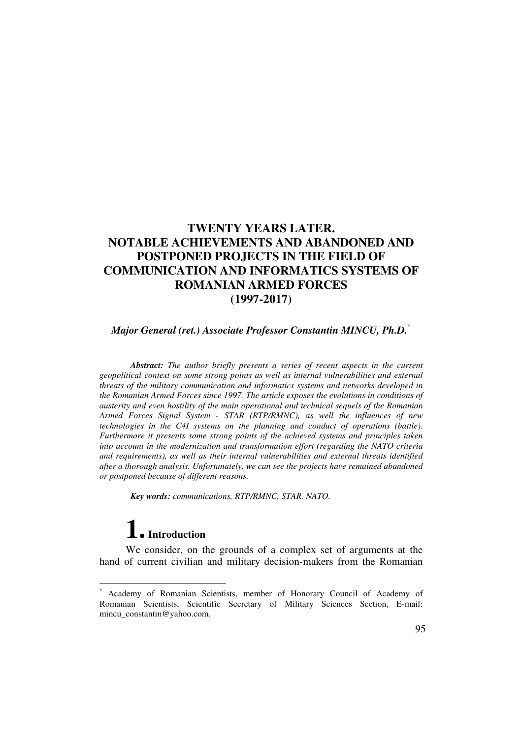## *Major General (ret.) Associate Professor Constantin MINCU, Ph.D.\**

*Abstract: The author briefly presents a series of recent aspects in the current geopolitical context on some strong points as well as internal vulnerabilities and external threats of the military communication and informatics systems and networks developed in the Romanian Armed Forces since 1997. The article exposes the evolutions in conditions of austerity and even hostility of the main operational and technical sequels of the Romanian Armed Forces Signal System - STAR (RTP/RMNC), as well the influences of new technologies in the C4I systems on the planning and conduct of operations (battle). Furthermore it presents some strong points of the achieved systems and principles taken into account in the modernization and transformation effort (regarding the NATO criteria and requirements), as well as their internal vulnerabilities and external threats identified after a thorough analysis. Unfortunately, we can see the projects have remained abandoned or postponed because of different reasons.* 

*Key words: communications, RTP/RMNC, STAR, NATO.* 

# **1. Introduction**

 $\overline{a}$ 

We consider, on the grounds of a complex set of arguments at the hand of current civilian and military decision-makers from the Romanian

<sup>\*</sup> Academy of Romanian Scientists, member of Honorary Council of Academy of Romanian Scientists, Scientific Secretary of Military Sciences Section, E-mail: mincu\_constantin@yahoo.com.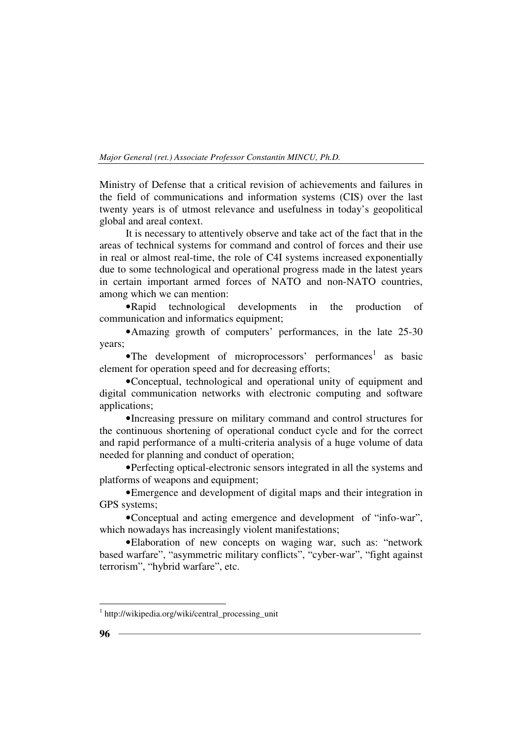Ministry of Defense that a critical revision of achievements and failures in the field of communications and information systems (CIS) over the last twenty years is of utmost relevance and usefulness in today's geopolitical global and areal context.

It is necessary to attentively observe and take act of the fact that in the areas of technical systems for command and control of forces and their use in real or almost real-time, the role of C4I systems increased exponentially due to some technological and operational progress made in the latest years in certain important armed forces of NATO and non-NATO countries, among which we can mention:

•Rapid technological developments in the production of communication and informatics equipment;

•Amazing growth of computers' performances, in the late 25-30 years;

 $\bullet$ The development of microprocessors' performances<sup>1</sup> as basic element for operation speed and for decreasing efforts;

•Conceptual, technological and operational unity of equipment and digital communication networks with electronic computing and software applications;

•Increasing pressure on military command and control structures for the continuous shortening of operational conduct cycle and for the correct and rapid performance of a multi-criteria analysis of a huge volume of data needed for planning and conduct of operation;

•Perfecting optical-electronic sensors integrated in all the systems and platforms of weapons and equipment;

•Emergence and development of digital maps and their integration in GPS systems;

•Conceptual and acting emergence and development of "info-war", which nowadays has increasingly violent manifestations;

•Elaboration of new concepts on waging war, such as: "network based warfare", "asymmetric military conflicts", "cyber-war", "fight against terrorism", "hybrid warfare", etc.

 1 http://wikipedia.org/wiki/central\_processing\_unit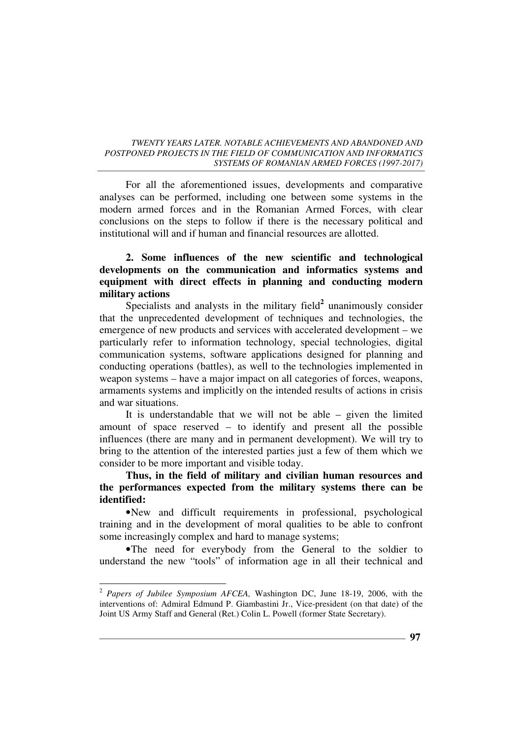For all the aforementioned issues, developments and comparative analyses can be performed, including one between some systems in the modern armed forces and in the Romanian Armed Forces, with clear conclusions on the steps to follow if there is the necessary political and institutional will and if human and financial resources are allotted.

## **2. Some influences of the new scientific and technological developments on the communication and informatics systems and equipment with direct effects in planning and conducting modern military actions**

Specialists and analysts in the military field<sup>2</sup> unanimously consider that the unprecedented development of techniques and technologies, the emergence of new products and services with accelerated development – we particularly refer to information technology, special technologies, digital communication systems, software applications designed for planning and conducting operations (battles), as well to the technologies implemented in weapon systems – have a major impact on all categories of forces, weapons, armaments systems and implicitly on the intended results of actions in crisis and war situations.

It is understandable that we will not be able – given the limited amount of space reserved – to identify and present all the possible influences (there are many and in permanent development). We will try to bring to the attention of the interested parties just a few of them which we consider to be more important and visible today.

**Thus, in the field of military and civilian human resources and the performances expected from the military systems there can be identified:**

•New and difficult requirements in professional, psychological training and in the development of moral qualities to be able to confront some increasingly complex and hard to manage systems;

•The need for everybody from the General to the soldier to understand the new "tools" of information age in all their technical and

 2  *Papers of Jubilee Symposium AFCEA,* Washington DC, June 18-19, 2006, with the interventions of: Admiral Edmund P. Giambastini Jr., Vice-president (on that date) of the Joint US Army Staff and General (Ret.) Colin L. Powell (former State Secretary).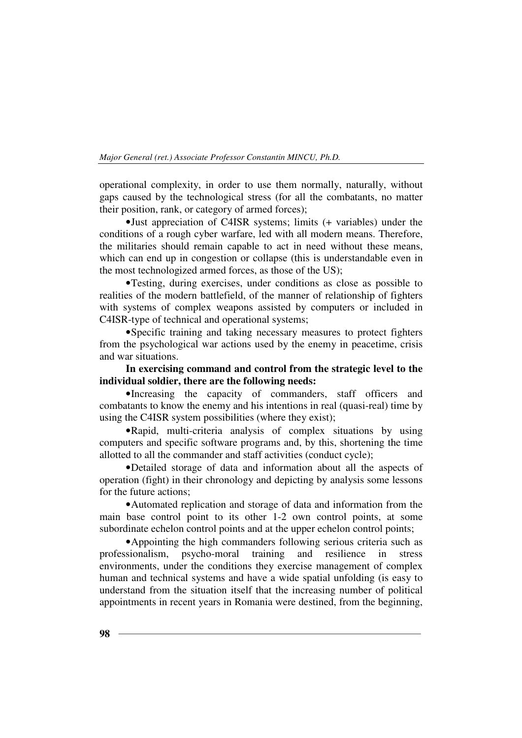operational complexity, in order to use them normally, naturally, without gaps caused by the technological stress (for all the combatants, no matter their position, rank, or category of armed forces);

•Just appreciation of C4ISR systems; limits (+ variables) under the conditions of a rough cyber warfare, led with all modern means. Therefore, the militaries should remain capable to act in need without these means, which can end up in congestion or collapse (this is understandable even in the most technologized armed forces, as those of the US);

•Testing, during exercises, under conditions as close as possible to realities of the modern battlefield, of the manner of relationship of fighters with systems of complex weapons assisted by computers or included in C4ISR-type of technical and operational systems;

•Specific training and taking necessary measures to protect fighters from the psychological war actions used by the enemy in peacetime, crisis and war situations.

## **In exercising command and control from the strategic level to the individual soldier, there are the following needs:**

•Increasing the capacity of commanders, staff officers and combatants to know the enemy and his intentions in real (quasi-real) time by using the C4ISR system possibilities (where they exist);

•Rapid, multi-criteria analysis of complex situations by using computers and specific software programs and, by this, shortening the time allotted to all the commander and staff activities (conduct cycle);

•Detailed storage of data and information about all the aspects of operation (fight) in their chronology and depicting by analysis some lessons for the future actions;

•Automated replication and storage of data and information from the main base control point to its other 1-2 own control points, at some subordinate echelon control points and at the upper echelon control points;

•Appointing the high commanders following serious criteria such as professionalism, psycho-moral training and resilience in stress environments, under the conditions they exercise management of complex human and technical systems and have a wide spatial unfolding (is easy to understand from the situation itself that the increasing number of political appointments in recent years in Romania were destined, from the beginning,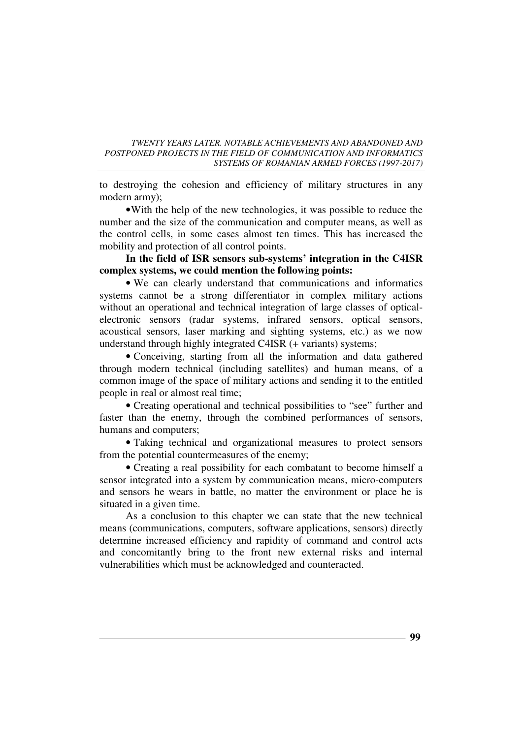to destroying the cohesion and efficiency of military structures in any modern army);

•With the help of the new technologies, it was possible to reduce the number and the size of the communication and computer means, as well as the control cells, in some cases almost ten times. This has increased the mobility and protection of all control points.

**In the field of ISR sensors sub-systems' integration in the C4ISR complex systems, we could mention the following points:** 

• We can clearly understand that communications and informatics systems cannot be a strong differentiator in complex military actions without an operational and technical integration of large classes of opticalelectronic sensors (radar systems, infrared sensors, optical sensors, acoustical sensors, laser marking and sighting systems, etc.) as we now understand through highly integrated C4ISR (+ variants) systems;

• Conceiving, starting from all the information and data gathered through modern technical (including satellites) and human means, of a common image of the space of military actions and sending it to the entitled people in real or almost real time;

• Creating operational and technical possibilities to "see" further and faster than the enemy, through the combined performances of sensors, humans and computers;

• Taking technical and organizational measures to protect sensors from the potential countermeasures of the enemy;

• Creating a real possibility for each combatant to become himself a sensor integrated into a system by communication means, micro-computers and sensors he wears in battle, no matter the environment or place he is situated in a given time.

As a conclusion to this chapter we can state that the new technical means (communications, computers, software applications, sensors) directly determine increased efficiency and rapidity of command and control acts and concomitantly bring to the front new external risks and internal vulnerabilities which must be acknowledged and counteracted.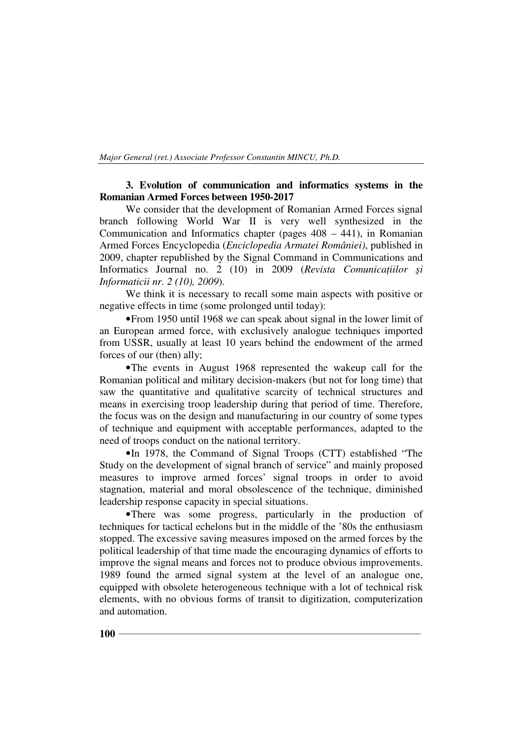## **3. Evolution of communication and informatics systems in the Romanian Armed Forces between 1950-2017**

We consider that the development of Romanian Armed Forces signal branch following World War II is very well synthesized in the Communication and Informatics chapter (pages 408 – 441), in Romanian Armed Forces Encyclopedia (*Enciclopedia Armatei României)*, published in 2009, chapter republished by the Signal Command in Communications and Informatics Journal no. 2 (10) in 2009 (*Revista Comunicațiilor și Informaticii nr. 2 (10), 2009*).

We think it is necessary to recall some main aspects with positive or negative effects in time (some prolonged until today):

•From 1950 until 1968 we can speak about signal in the lower limit of an European armed force, with exclusively analogue techniques imported from USSR, usually at least 10 years behind the endowment of the armed forces of our (then) ally;

•The events in August 1968 represented the wakeup call for the Romanian political and military decision-makers (but not for long time) that saw the quantitative and qualitative scarcity of technical structures and means in exercising troop leadership during that period of time. Therefore, the focus was on the design and manufacturing in our country of some types of technique and equipment with acceptable performances, adapted to the need of troops conduct on the national territory.

•In 1978, the Command of Signal Troops (CTT) established "The Study on the development of signal branch of service" and mainly proposed measures to improve armed forces' signal troops in order to avoid stagnation, material and moral obsolescence of the technique, diminished leadership response capacity in special situations.

•There was some progress, particularly in the production of techniques for tactical echelons but in the middle of the '80s the enthusiasm stopped. The excessive saving measures imposed on the armed forces by the political leadership of that time made the encouraging dynamics of efforts to improve the signal means and forces not to produce obvious improvements. 1989 found the armed signal system at the level of an analogue one, equipped with obsolete heterogeneous technique with a lot of technical risk elements, with no obvious forms of transit to digitization, computerization and automation.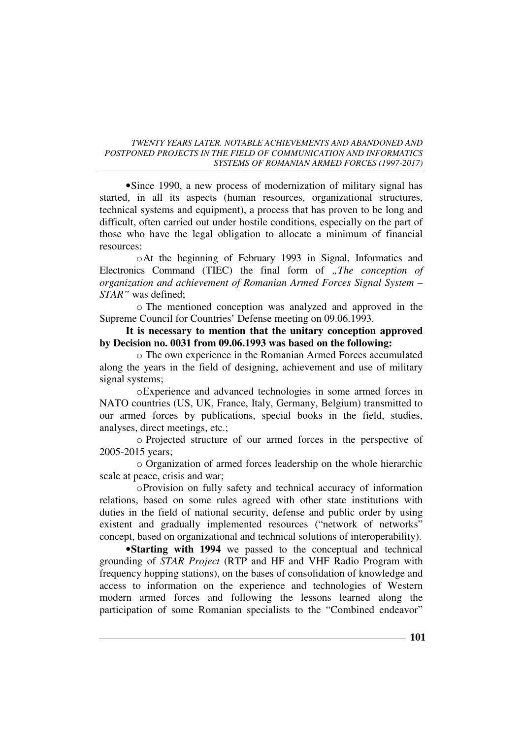•Since 1990, a new process of modernization of military signal has started, in all its aspects (human resources, organizational structures, technical systems and equipment), a process that has proven to be long and difficult, often carried out under hostile conditions, especially on the part of those who have the legal obligation to allocate a minimum of financial resources:

oAt the beginning of February 1993 in Signal, Informatics and Electronics Command (TIEC) the final form of *"The conception of organization and achievement of Romanian Armed Forces Signal System – STAR"* was defined;

o The mentioned conception was analyzed and approved in the Supreme Council for Countries' Defense meeting on 09.06.1993.

**It is necessary to mention that the unitary conception approved by Decision no. 0031 from 09.06.1993 was based on the following:** 

o The own experience in the Romanian Armed Forces accumulated along the years in the field of designing, achievement and use of military signal systems:

oExperience and advanced technologies in some armed forces in NATO countries (US, UK, France, Italy, Germany, Belgium) transmitted to our armed forces by publications, special books in the field, studies, analyses, direct meetings, etc.;

o Projected structure of our armed forces in the perspective of 2005-2015 years;

o Organization of armed forces leadership on the whole hierarchic scale at peace, crisis and war;

oProvision on fully safety and technical accuracy of information relations, based on some rules agreed with other state institutions with duties in the field of national security, defense and public order by using existent and gradually implemented resources ("network of networks" concept, based on organizational and technical solutions of interoperability).

•**Starting with 1994** we passed to the conceptual and technical grounding of *STAR Project* (RTP and HF and VHF Radio Program with frequency hopping stations), on the bases of consolidation of knowledge and access to information on the experience and technologies of Western modern armed forces and following the lessons learned along the participation of some Romanian specialists to the "Combined endeavor"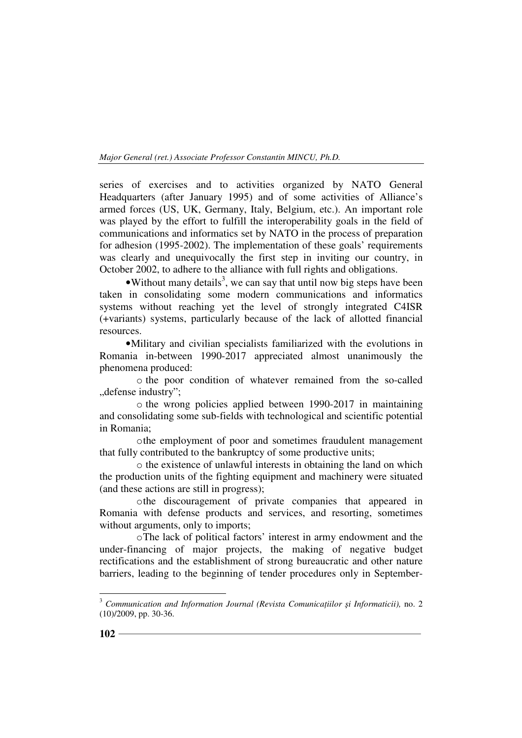series of exercises and to activities organized by NATO General Headquarters (after January 1995) and of some activities of Alliance's armed forces (US, UK, Germany, Italy, Belgium, etc.). An important role was played by the effort to fulfill the interoperability goals in the field of communications and informatics set by NATO in the process of preparation for adhesion (1995-2002). The implementation of these goals' requirements was clearly and unequivocally the first step in inviting our country, in October 2002, to adhere to the alliance with full rights and obligations.

 $\bullet$  Without many details<sup>3</sup>, we can say that until now big steps have been taken in consolidating some modern communications and informatics systems without reaching yet the level of strongly integrated C4ISR (+variants) systems, particularly because of the lack of allotted financial resources.

•Military and civilian specialists familiarized with the evolutions in Romania in-between 1990-2017 appreciated almost unanimously the phenomena produced:

o the poor condition of whatever remained from the so-called ", defense industry";

o the wrong policies applied between 1990-2017 in maintaining and consolidating some sub-fields with technological and scientific potential in Romania;

othe employment of poor and sometimes fraudulent management that fully contributed to the bankruptcy of some productive units;

o the existence of unlawful interests in obtaining the land on which the production units of the fighting equipment and machinery were situated (and these actions are still in progress);

othe discouragement of private companies that appeared in Romania with defense products and services, and resorting, sometimes without arguments, only to imports;

oThe lack of political factors' interest in army endowment and the under-financing of major projects, the making of negative budget rectifications and the establishment of strong bureaucratic and other nature barriers, leading to the beginning of tender procedures only in September-

<sup>&</sup>lt;sup>3</sup> Communication and Information Journal (Revista Comunica<sub>*†iilor și Informaticii)*, no. 2</sub> (10)/2009, pp. 30-36.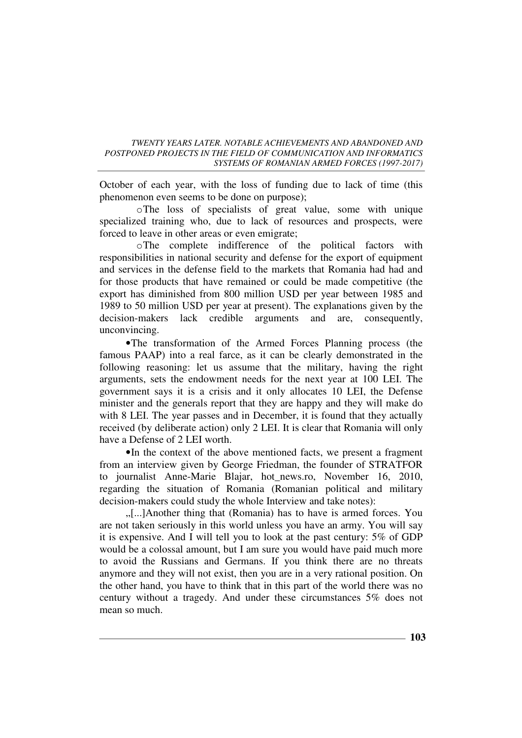October of each year, with the loss of funding due to lack of time (this phenomenon even seems to be done on purpose);

oThe loss of specialists of great value, some with unique specialized training who, due to lack of resources and prospects, were forced to leave in other areas or even emigrate;

oThe complete indifference of the political factors with responsibilities in national security and defense for the export of equipment and services in the defense field to the markets that Romania had had and for those products that have remained or could be made competitive (the export has diminished from 800 million USD per year between 1985 and 1989 to 50 million USD per year at present). The explanations given by the decision-makers lack credible arguments and are, consequently, unconvincing.

•The transformation of the Armed Forces Planning process (the famous PAAP) into a real farce, as it can be clearly demonstrated in the following reasoning: let us assume that the military, having the right arguments, sets the endowment needs for the next year at 100 LEI. The government says it is a crisis and it only allocates 10 LEI, the Defense minister and the generals report that they are happy and they will make do with 8 LEI. The year passes and in December, it is found that they actually received (by deliberate action) only 2 LEI. It is clear that Romania will only have a Defense of 2 LEI worth.

•In the context of the above mentioned facts, we present a fragment from an interview given by George Friedman, the founder of STRATFOR to journalist Anne-Marie Blajar, hot news.ro, November 16, 2010, regarding the situation of Romania (Romanian political and military decision-makers could study the whole Interview and take notes):

"[...]Another thing that (Romania) has to have is armed forces. You are not taken seriously in this world unless you have an army. You will say it is expensive. And I will tell you to look at the past century: 5% of GDP would be a colossal amount, but I am sure you would have paid much more to avoid the Russians and Germans. If you think there are no threats anymore and they will not exist, then you are in a very rational position. On the other hand, you have to think that in this part of the world there was no century without a tragedy. And under these circumstances 5% does not mean so much.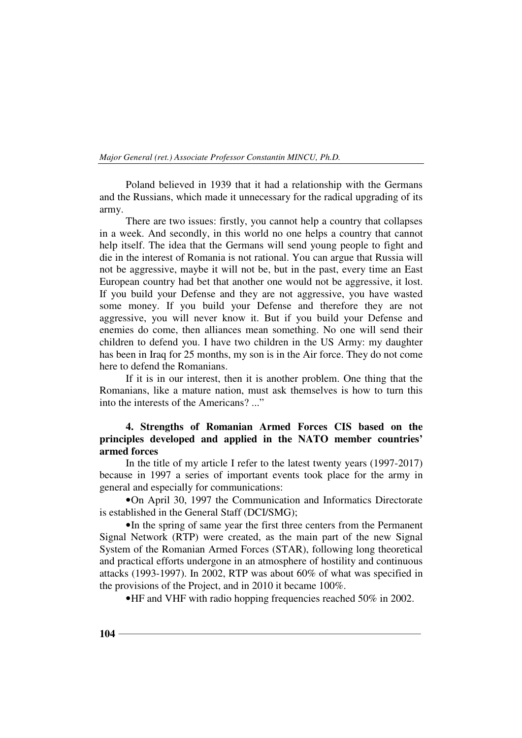Poland believed in 1939 that it had a relationship with the Germans and the Russians, which made it unnecessary for the radical upgrading of its army.

There are two issues: firstly, you cannot help a country that collapses in a week. And secondly, in this world no one helps a country that cannot help itself. The idea that the Germans will send young people to fight and die in the interest of Romania is not rational. You can argue that Russia will not be aggressive, maybe it will not be, but in the past, every time an East European country had bet that another one would not be aggressive, it lost. If you build your Defense and they are not aggressive, you have wasted some money. If you build your Defense and therefore they are not aggressive, you will never know it. But if you build your Defense and enemies do come, then alliances mean something. No one will send their children to defend you. I have two children in the US Army: my daughter has been in Iraq for 25 months, my son is in the Air force. They do not come here to defend the Romanians.

If it is in our interest, then it is another problem. One thing that the Romanians, like a mature nation, must ask themselves is how to turn this into the interests of the Americans? ..."

## **4. Strengths of Romanian Armed Forces CIS based on the principles developed and applied in the NATO member countries' armed forces**

In the title of my article I refer to the latest twenty years (1997-2017) because in 1997 a series of important events took place for the army in general and especially for communications:

•On April 30, 1997 the Communication and Informatics Directorate is established in the General Staff (DCI/SMG);

•In the spring of same year the first three centers from the Permanent Signal Network (RTP) were created, as the main part of the new Signal System of the Romanian Armed Forces (STAR), following long theoretical and practical efforts undergone in an atmosphere of hostility and continuous attacks (1993-1997). In 2002, RTP was about 60% of what was specified in the provisions of the Project, and in 2010 it became 100%.

•HF and VHF with radio hopping frequencies reached 50% in 2002.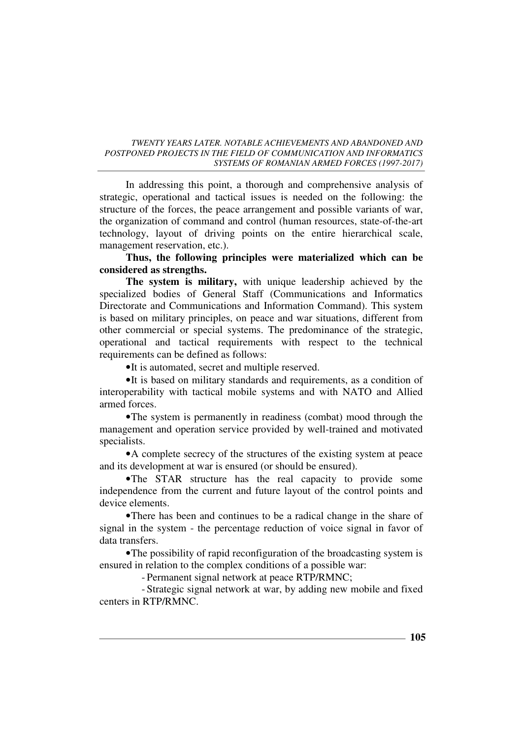In addressing this point, a thorough and comprehensive analysis of strategic, operational and tactical issues is needed on the following: the structure of the forces, the peace arrangement and possible variants of war, the organization of command and control (human resources, state-of-the-art technology, layout of driving points on the entire hierarchical scale, management reservation, etc.).

**Thus, the following principles were materialized which can be considered as strengths.** 

**The system is military,** with unique leadership achieved by the specialized bodies of General Staff (Communications and Informatics Directorate and Communications and Information Command). This system is based on military principles, on peace and war situations, different from other commercial or special systems. The predominance of the strategic, operational and tactical requirements with respect to the technical requirements can be defined as follows:

•It is automated, secret and multiple reserved.

•It is based on military standards and requirements, as a condition of interoperability with tactical mobile systems and with NATO and Allied armed forces.

•The system is permanently in readiness (combat) mood through the management and operation service provided by well-trained and motivated specialists.

•A complete secrecy of the structures of the existing system at peace and its development at war is ensured (or should be ensured).

•The STAR structure has the real capacity to provide some independence from the current and future layout of the control points and device elements.

•There has been and continues to be a radical change in the share of signal in the system - the percentage reduction of voice signal in favor of data transfers.

•The possibility of rapid reconfiguration of the broadcasting system is ensured in relation to the complex conditions of a possible war:

- Permanent signal network at peace RTP/RMNC;

- Strategic signal network at war, by adding new mobile and fixed centers in RTP/RMNC.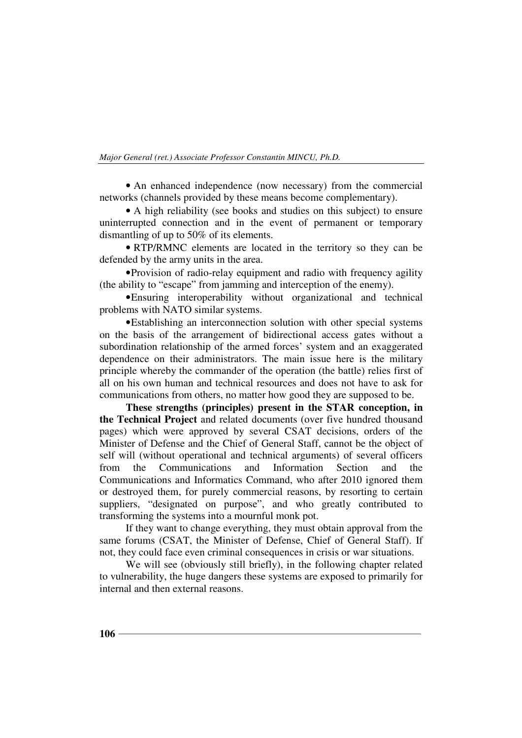• An enhanced independence (now necessary) from the commercial networks (channels provided by these means become complementary).

• A high reliability (see books and studies on this subject) to ensure uninterrupted connection and in the event of permanent or temporary dismantling of up to 50% of its elements.

• RTP/RMNC elements are located in the territory so they can be defended by the army units in the area.

•Provision of radio-relay equipment and radio with frequency agility (the ability to "escape" from jamming and interception of the enemy).

•Ensuring interoperability without organizational and technical problems with NATO similar systems.

•Establishing an interconnection solution with other special systems on the basis of the arrangement of bidirectional access gates without a subordination relationship of the armed forces' system and an exaggerated dependence on their administrators. The main issue here is the military principle whereby the commander of the operation (the battle) relies first of all on his own human and technical resources and does not have to ask for communications from others, no matter how good they are supposed to be.

**These strengths (principles) present in the STAR conception, in the Technical Project** and related documents (over five hundred thousand pages) which were approved by several CSAT decisions, orders of the Minister of Defense and the Chief of General Staff, cannot be the object of self will (without operational and technical arguments) of several officers from the Communications and Information Section and the Communications and Informatics Command, who after 2010 ignored them or destroyed them, for purely commercial reasons, by resorting to certain suppliers, "designated on purpose", and who greatly contributed to transforming the systems into a mournful monk pot.

If they want to change everything, they must obtain approval from the same forums (CSAT, the Minister of Defense, Chief of General Staff). If not, they could face even criminal consequences in crisis or war situations.

We will see (obviously still briefly), in the following chapter related to vulnerability, the huge dangers these systems are exposed to primarily for internal and then external reasons.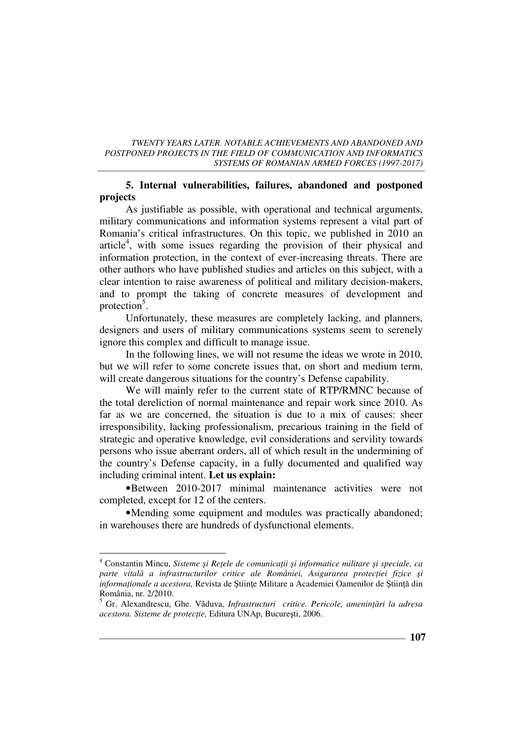## **5. Internal vulnerabilities, failures, abandoned and postponed projects**

As justifiable as possible, with operational and technical arguments, military communications and information systems represent a vital part of Romania's critical infrastructures. On this topic, we published in 2010 an article<sup>4</sup>, with some issues regarding the provision of their physical and information protection, in the context of ever-increasing threats. There are other authors who have published studies and articles on this subject, with a clear intention to raise awareness of political and military decision-makers, and to prompt the taking of concrete measures of development and protection<sup>5</sup>.

Unfortunately, these measures are completely lacking, and planners, designers and users of military communications systems seem to serenely ignore this complex and difficult to manage issue.

In the following lines, we will not resume the ideas we wrote in 2010, but we will refer to some concrete issues that, on short and medium term, will create dangerous situations for the country's Defense capability.

We will mainly refer to the current state of RTP/RMNC because of the total dereliction of normal maintenance and repair work since 2010. As far as we are concerned, the situation is due to a mix of causes: sheer irresponsibility, lacking professionalism, precarious training in the field of strategic and operative knowledge, evil considerations and servility towards persons who issue aberrant orders, all of which result in the undermining of the country's Defense capacity, in a fully documented and qualified way including criminal intent. **Let us explain:**

•Between 2010-2017 minimal maintenance activities were not completed, except for 12 of the centers.

•Mending some equipment and modules was practically abandoned; in warehouses there are hundreds of dysfunctional elements.

 $\overline{a}$ 

<sup>&</sup>lt;sup>4</sup> Constantin Mincu, *Sisteme și Rețele de comunicații și informatice militare și speciale, ca parte vitală a infrastructurilor critice ale României, Asigurarea protecției fizice și informaționale a acestora*, Revista de Științe Militare a Academiei Oamenilor de Știință din România, nr. 2/2010.

<sup>5</sup> Gr. Alexandrescu, Ghe. Văduva, *Infrastructuri critice. Pericole, amenințări la adresa acestora. Sisteme de protecŃie,* Editura UNAp, Bucureşti, 2006.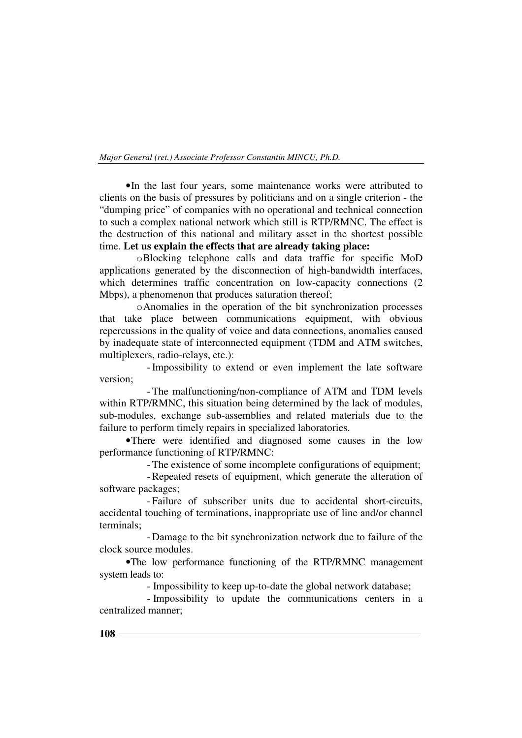•In the last four years, some maintenance works were attributed to clients on the basis of pressures by politicians and on a single criterion - the "dumping price" of companies with no operational and technical connection to such a complex national network which still is RTP/RMNC. The effect is the destruction of this national and military asset in the shortest possible time. **Let us explain the effects that are already taking place:** 

oBlocking telephone calls and data traffic for specific MoD applications generated by the disconnection of high-bandwidth interfaces, which determines traffic concentration on low-capacity connections (2) Mbps), a phenomenon that produces saturation thereof;

oAnomalies in the operation of the bit synchronization processes that take place between communications equipment, with obvious repercussions in the quality of voice and data connections, anomalies caused by inadequate state of interconnected equipment (TDM and ATM switches, multiplexers, radio-relays, etc.):

- Impossibility to extend or even implement the late software version;

- The malfunctioning/non-compliance of ATM and TDM levels within RTP/RMNC, this situation being determined by the lack of modules, sub-modules, exchange sub-assemblies and related materials due to the failure to perform timely repairs in specialized laboratories.

•There were identified and diagnosed some causes in the low performance functioning of RTP/RMNC:

- The existence of some incomplete configurations of equipment;

- Repeated resets of equipment, which generate the alteration of software packages;

- Failure of subscriber units due to accidental short-circuits, accidental touching of terminations, inappropriate use of line and/or channel terminals;

- Damage to the bit synchronization network due to failure of the clock source modules.

•The low performance functioning of the RTP/RMNC management system leads to:

- Impossibility to keep up-to-date the global network database;

- Impossibility to update the communications centers in a centralized manner;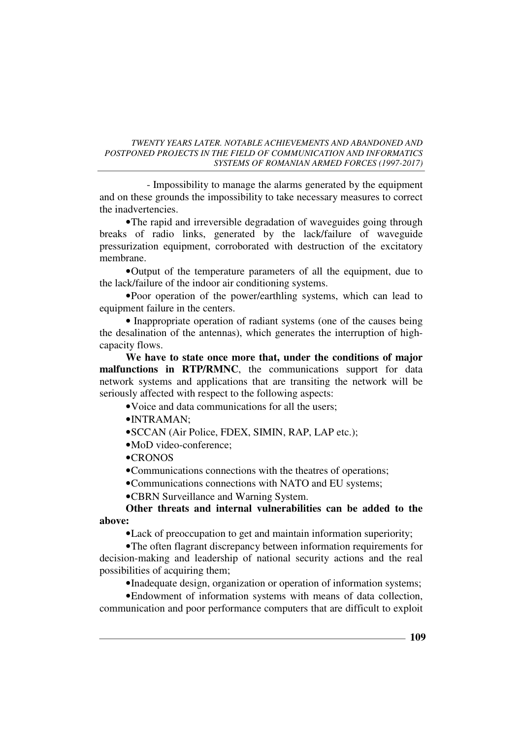- Impossibility to manage the alarms generated by the equipment and on these grounds the impossibility to take necessary measures to correct the inadvertencies.

•The rapid and irreversible degradation of waveguides going through breaks of radio links, generated by the lack/failure of waveguide pressurization equipment, corroborated with destruction of the excitatory membrane.

•Output of the temperature parameters of all the equipment, due to the lack/failure of the indoor air conditioning systems.

•Poor operation of the power/earthling systems, which can lead to equipment failure in the centers.

• Inappropriate operation of radiant systems (one of the causes being the desalination of the antennas), which generates the interruption of highcapacity flows.

**We have to state once more that, under the conditions of major malfunctions in RTP/RMNC**, the communications support for data network systems and applications that are transiting the network will be seriously affected with respect to the following aspects:

•Voice and data communications for all the users;

 $\bullet$ INTRAMAN·

- •SCCAN (Air Police, FDEX, SIMIN, RAP, LAP etc.);
- •MoD video-conference:
- •CRONOS

•Communications connections with the theatres of operations;

•Communications connections with NATO and EU systems;

•CBRN Surveillance and Warning System.

**Other threats and internal vulnerabilities can be added to the above:** 

•Lack of preoccupation to get and maintain information superiority;

•The often flagrant discrepancy between information requirements for decision-making and leadership of national security actions and the real possibilities of acquiring them;

•Inadequate design, organization or operation of information systems;

•Endowment of information systems with means of data collection, communication and poor performance computers that are difficult to exploit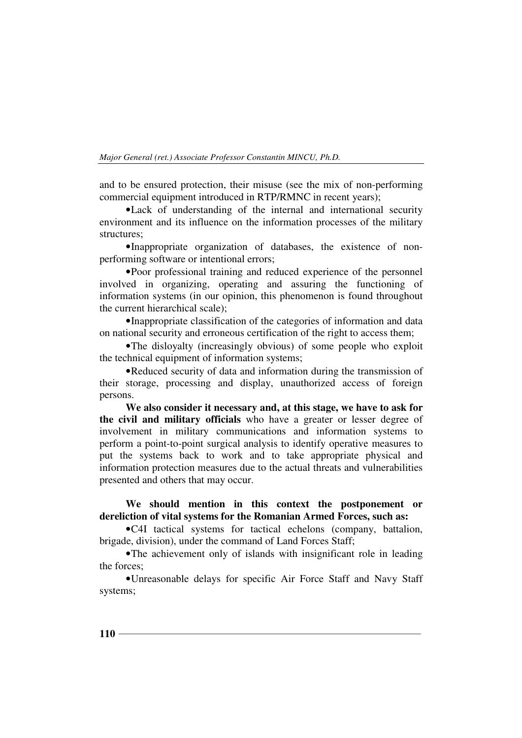and to be ensured protection, their misuse (see the mix of non-performing commercial equipment introduced in RTP/RMNC in recent years);

•Lack of understanding of the internal and international security environment and its influence on the information processes of the military structures;

•Inappropriate organization of databases, the existence of nonperforming software or intentional errors;

•Poor professional training and reduced experience of the personnel involved in organizing, operating and assuring the functioning of information systems (in our opinion, this phenomenon is found throughout the current hierarchical scale);

•Inappropriate classification of the categories of information and data on national security and erroneous certification of the right to access them;

•The disloyalty (increasingly obvious) of some people who exploit the technical equipment of information systems;

•Reduced security of data and information during the transmission of their storage, processing and display, unauthorized access of foreign persons.

**We also consider it necessary and, at this stage, we have to ask for the civil and military officials** who have a greater or lesser degree of involvement in military communications and information systems to perform a point-to-point surgical analysis to identify operative measures to put the systems back to work and to take appropriate physical and information protection measures due to the actual threats and vulnerabilities presented and others that may occur.

## **We should mention in this context the postponement or dereliction of vital systems for the Romanian Armed Forces, such as:**

•C4I tactical systems for tactical echelons (company, battalion, brigade, division), under the command of Land Forces Staff;

•The achievement only of islands with insignificant role in leading the forces;

•Unreasonable delays for specific Air Force Staff and Navy Staff systems;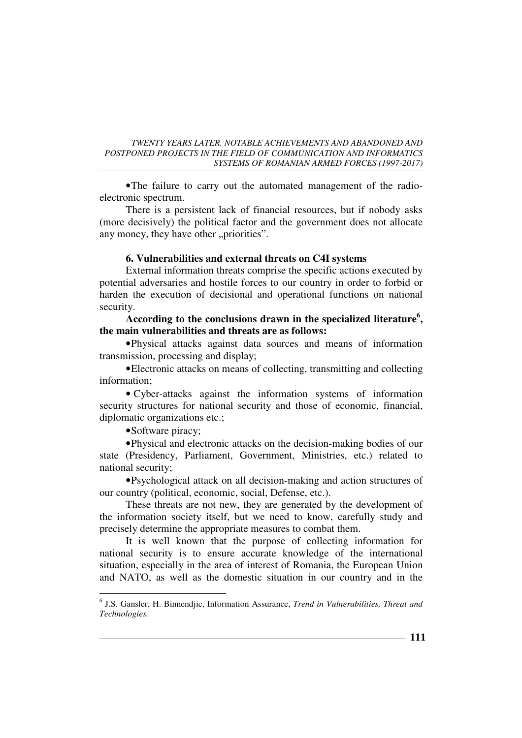•The failure to carry out the automated management of the radioelectronic spectrum.

There is a persistent lack of financial resources, but if nobody asks (more decisively) the political factor and the government does not allocate any money, they have other "priorities".

## **6. Vulnerabilities and external threats on C4I systems**

External information threats comprise the specific actions executed by potential adversaries and hostile forces to our country in order to forbid or harden the execution of decisional and operational functions on national security.

## **According to the conclusions drawn in the specialized literature<sup>6</sup> , the main vulnerabilities and threats are as follows:**

•Physical attacks against data sources and means of information transmission, processing and display;

•Electronic attacks on means of collecting, transmitting and collecting information;

• Cyber-attacks against the information systems of information security structures for national security and those of economic, financial, diplomatic organizations etc.;

•Software piracy;

 $\overline{a}$ 

•Physical and electronic attacks on the decision-making bodies of our state (Presidency, Parliament, Government, Ministries, etc.) related to national security;

•Psychological attack on all decision-making and action structures of our country (political, economic, social, Defense, etc.).

These threats are not new, they are generated by the development of the information society itself, but we need to know, carefully study and precisely determine the appropriate measures to combat them.

It is well known that the purpose of collecting information for national security is to ensure accurate knowledge of the international situation, especially in the area of interest of Romania, the European Union and NATO, as well as the domestic situation in our country and in the

<sup>6</sup> J.S. Gansler, H. Binnendjic, Information Assurance, *Trend in Vulnerabilities, Threat and Technologies.*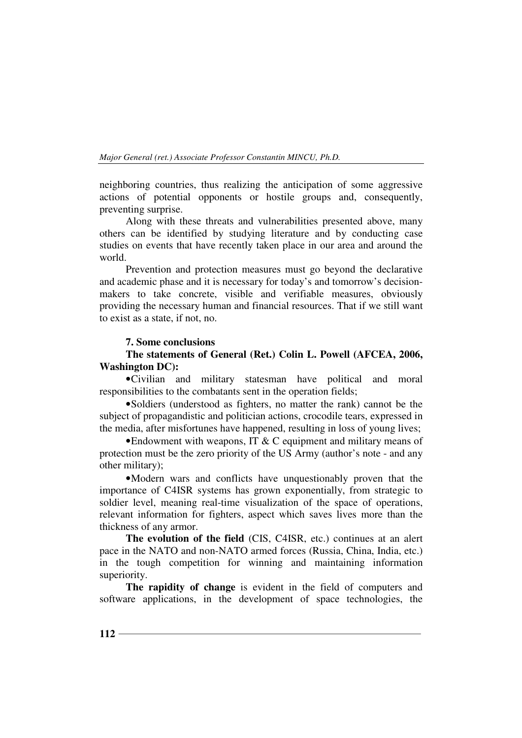neighboring countries, thus realizing the anticipation of some aggressive actions of potential opponents or hostile groups and, consequently, preventing surprise.

Along with these threats and vulnerabilities presented above, many others can be identified by studying literature and by conducting case studies on events that have recently taken place in our area and around the world.

Prevention and protection measures must go beyond the declarative and academic phase and it is necessary for today's and tomorrow's decisionmakers to take concrete, visible and verifiable measures, obviously providing the necessary human and financial resources. That if we still want to exist as a state, if not, no.

## **7. Some conclusions**

## **The statements of General (Ret.) Colin L. Powell (AFCEA, 2006, Washington DC):**

•Civilian and military statesman have political and moral responsibilities to the combatants sent in the operation fields;

•Soldiers (understood as fighters, no matter the rank) cannot be the subject of propagandistic and politician actions, crocodile tears, expressed in the media, after misfortunes have happened, resulting in loss of young lives;

•Endowment with weapons, IT & C equipment and military means of protection must be the zero priority of the US Army (author's note - and any other military);

•Modern wars and conflicts have unquestionably proven that the importance of C4ISR systems has grown exponentially, from strategic to soldier level, meaning real-time visualization of the space of operations, relevant information for fighters, aspect which saves lives more than the thickness of any armor.

**The evolution of the field** (CIS, C4ISR, etc.) continues at an alert pace in the NATO and non-NATO armed forces (Russia, China, India, etc.) in the tough competition for winning and maintaining information superiority.

**The rapidity of change** is evident in the field of computers and software applications, in the development of space technologies, the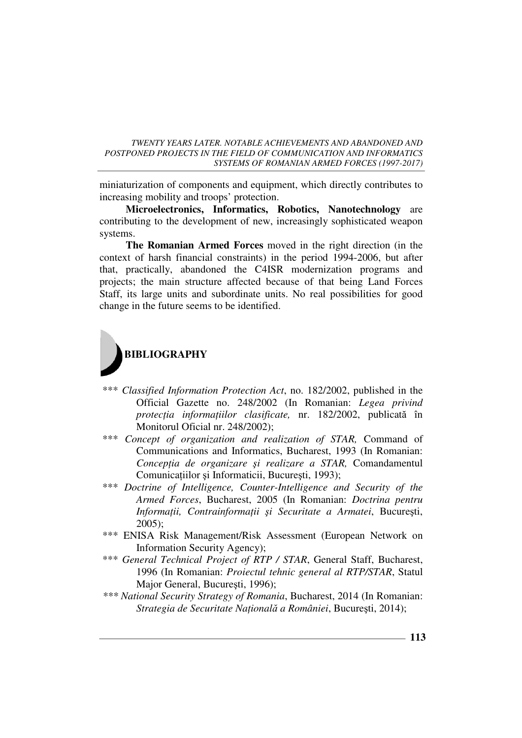miniaturization of components and equipment, which directly contributes to increasing mobility and troops' protection.

**Microelectronics, Informatics, Robotics, Nanotechnology** are contributing to the development of new, increasingly sophisticated weapon systems.

**The Romanian Armed Forces** moved in the right direction (in the context of harsh financial constraints) in the period 1994-2006, but after that, practically, abandoned the C4ISR modernization programs and projects; the main structure affected because of that being Land Forces Staff, its large units and subordinate units. No real possibilities for good change in the future seems to be identified.



- \*\*\* *Classified Information Protection Act*, no. 182/2002, published in the Official Gazette no. 248/2002 (In Romanian: *Legea privind protecția informațiilor clasificate*, nr. 182/2002, publicată în Monitorul Oficial nr. 248/2002);
- \*\*\* *Concept of organization and realization of STAR,* Command of Communications and Informatics, Bucharest, 1993 (In Romanian: *ConcepŃia de organizare şi realizare a STAR,* Comandamentul Comunicațiilor și Informaticii, București, 1993);
- \*\*\* *Doctrine of Intelligence, Counter-Intelligence and Security of the Armed Forces*, Bucharest, 2005 (In Romanian: *Doctrina pentru InformaŃii, ContrainformaŃii şi Securitate a Armatei*, Bucureşti,  $2005$ :
- \*\*\* ENISA Risk Management/Risk Assessment (European Network on Information Security Agency);
- \*\*\* *General Technical Project of RTP / STAR*, General Staff, Bucharest, 1996 (In Romanian: *Proiectul tehnic general al RTP/STAR*, Statul Major General, Bucureşti, 1996);
- *\*\*\* National Security Strategy of Romania*, Bucharest, 2014 (In Romanian: *Strategia de Securitate NaŃională a României*, Bucureşti, 2014);